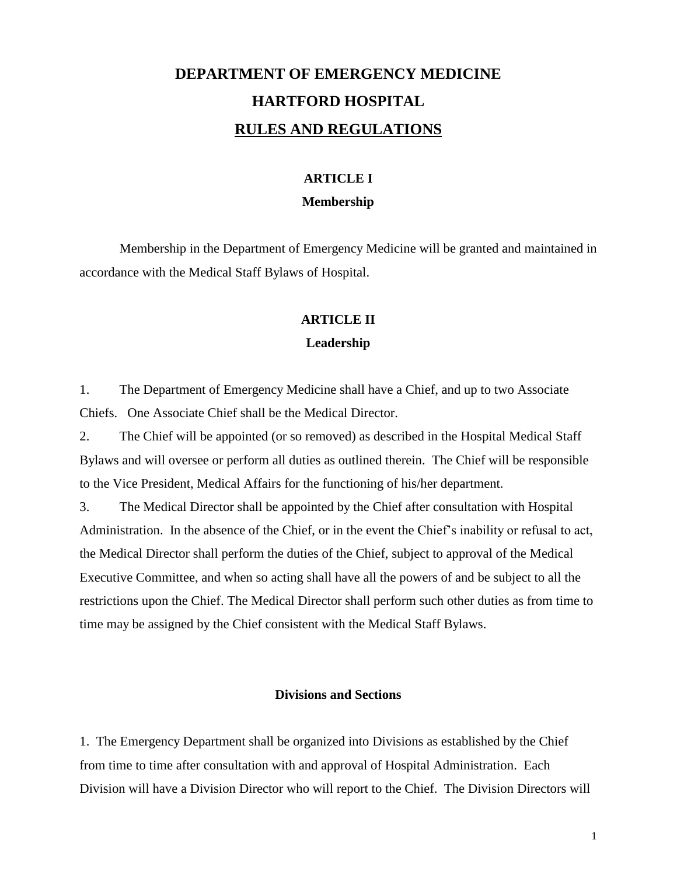# **DEPARTMENT OF EMERGENCY MEDICINE HARTFORD HOSPITAL RULES AND REGULATIONS**

# **ARTICLE I**

#### **Membership**

Membership in the Department of Emergency Medicine will be granted and maintained in accordance with the Medical Staff Bylaws of Hospital.

#### **ARTICLE II**

#### **Leadership**

1. The Department of Emergency Medicine shall have a Chief, and up to two Associate Chiefs. One Associate Chief shall be the Medical Director.

2. The Chief will be appointed (or so removed) as described in the Hospital Medical Staff Bylaws and will oversee or perform all duties as outlined therein. The Chief will be responsible to the Vice President, Medical Affairs for the functioning of his/her department.

3. The Medical Director shall be appointed by the Chief after consultation with Hospital Administration. In the absence of the Chief, or in the event the Chief's inability or refusal to act, the Medical Director shall perform the duties of the Chief, subject to approval of the Medical Executive Committee, and when so acting shall have all the powers of and be subject to all the restrictions upon the Chief. The Medical Director shall perform such other duties as from time to time may be assigned by the Chief consistent with the Medical Staff Bylaws.

#### **Divisions and Sections**

1. The Emergency Department shall be organized into Divisions as established by the Chief from time to time after consultation with and approval of Hospital Administration. Each Division will have a Division Director who will report to the Chief. The Division Directors will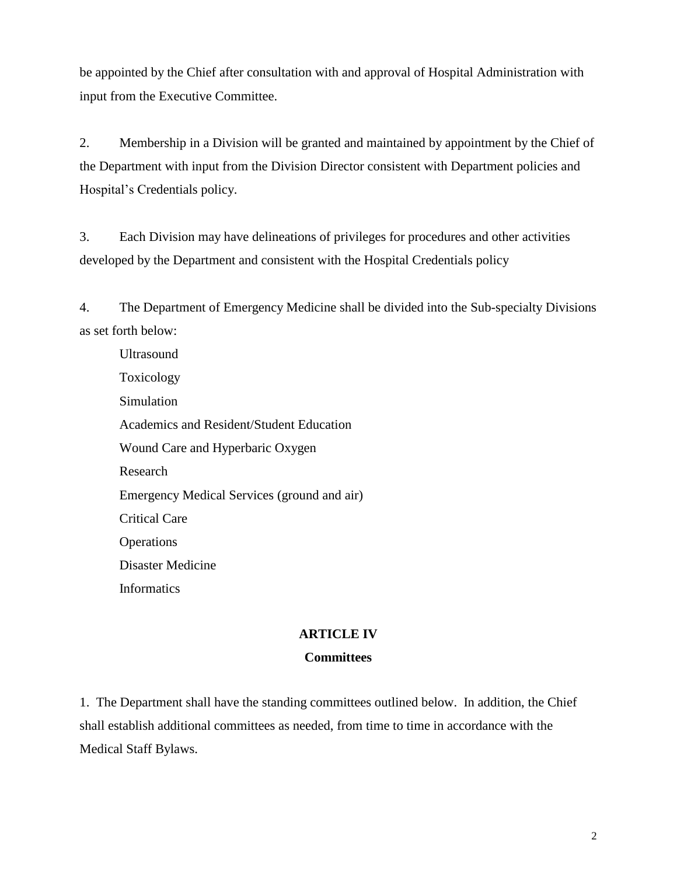be appointed by the Chief after consultation with and approval of Hospital Administration with input from the Executive Committee.

2. Membership in a Division will be granted and maintained by appointment by the Chief of the Department with input from the Division Director consistent with Department policies and Hospital's Credentials policy.

3. Each Division may have delineations of privileges for procedures and other activities developed by the Department and consistent with the Hospital Credentials policy

4. The Department of Emergency Medicine shall be divided into the Sub-specialty Divisions as set forth below:

Ultrasound Toxicology Simulation Academics and Resident/Student Education Wound Care and Hyperbaric Oxygen Research Emergency Medical Services (ground and air) Critical Care **Operations** Disaster Medicine Informatics

#### **ARTICLE IV**

#### **Committees**

1. The Department shall have the standing committees outlined below. In addition, the Chief shall establish additional committees as needed, from time to time in accordance with the Medical Staff Bylaws.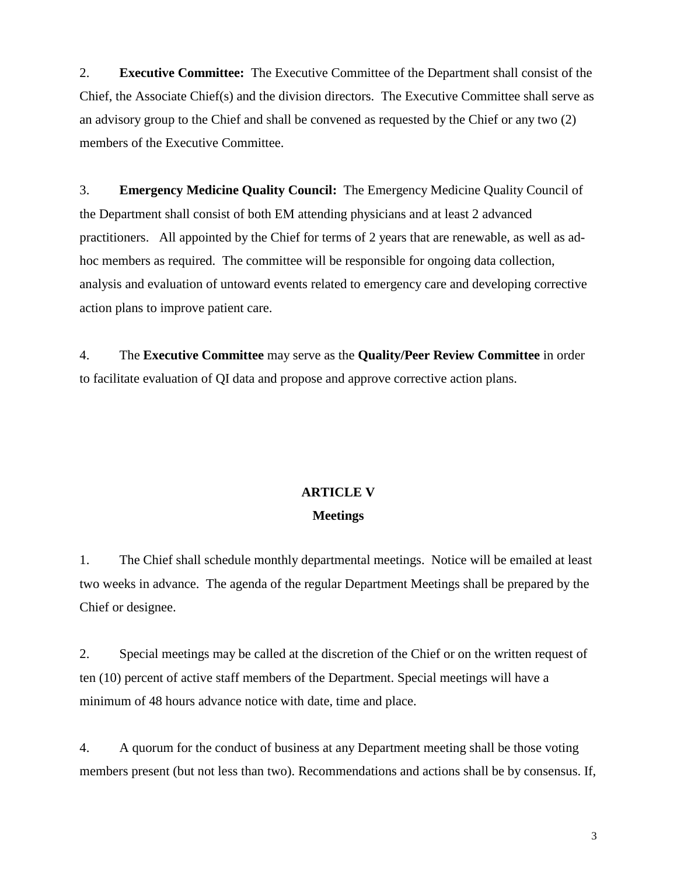2. **Executive Committee:** The Executive Committee of the Department shall consist of the Chief, the Associate Chief(s) and the division directors. The Executive Committee shall serve as an advisory group to the Chief and shall be convened as requested by the Chief or any two (2) members of the Executive Committee.

3. **Emergency Medicine Quality Council:** The Emergency Medicine Quality Council of the Department shall consist of both EM attending physicians and at least 2 advanced practitioners. All appointed by the Chief for terms of 2 years that are renewable, as well as adhoc members as required. The committee will be responsible for ongoing data collection, analysis and evaluation of untoward events related to emergency care and developing corrective action plans to improve patient care.

4. The **Executive Committee** may serve as the **Quality/Peer Review Committee** in order to facilitate evaluation of QI data and propose and approve corrective action plans.

### **ARTICLE V Meetings**

1. The Chief shall schedule monthly departmental meetings. Notice will be emailed at least two weeks in advance. The agenda of the regular Department Meetings shall be prepared by the Chief or designee.

2. Special meetings may be called at the discretion of the Chief or on the written request of ten (10) percent of active staff members of the Department. Special meetings will have a minimum of 48 hours advance notice with date, time and place.

4. A quorum for the conduct of business at any Department meeting shall be those voting members present (but not less than two). Recommendations and actions shall be by consensus. If,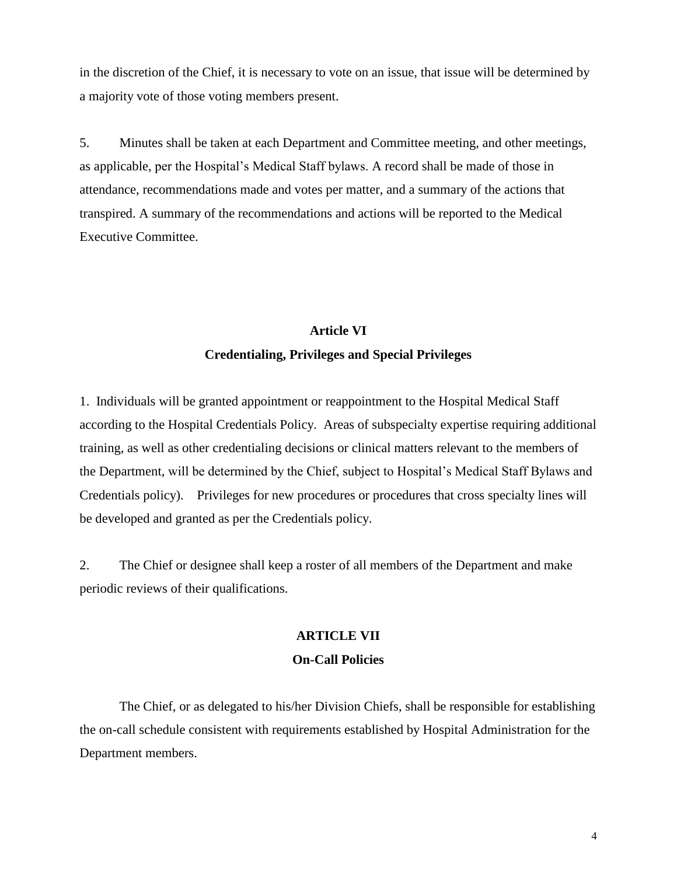in the discretion of the Chief, it is necessary to vote on an issue, that issue will be determined by a majority vote of those voting members present.

5. Minutes shall be taken at each Department and Committee meeting, and other meetings, as applicable, per the Hospital's Medical Staff bylaws. A record shall be made of those in attendance, recommendations made and votes per matter, and a summary of the actions that transpired. A summary of the recommendations and actions will be reported to the Medical Executive Committee.

## **Article VI Credentialing, Privileges and Special Privileges**

1. Individuals will be granted appointment or reappointment to the Hospital Medical Staff according to the Hospital Credentials Policy. Areas of subspecialty expertise requiring additional training, as well as other credentialing decisions or clinical matters relevant to the members of the Department, will be determined by the Chief, subject to Hospital's Medical Staff Bylaws and Credentials policy). Privileges for new procedures or procedures that cross specialty lines will be developed and granted as per the Credentials policy.

2. The Chief or designee shall keep a roster of all members of the Department and make periodic reviews of their qualifications.

# **ARTICLE VII**

#### **On-Call Policies**

The Chief, or as delegated to his/her Division Chiefs, shall be responsible for establishing the on-call schedule consistent with requirements established by Hospital Administration for the Department members.